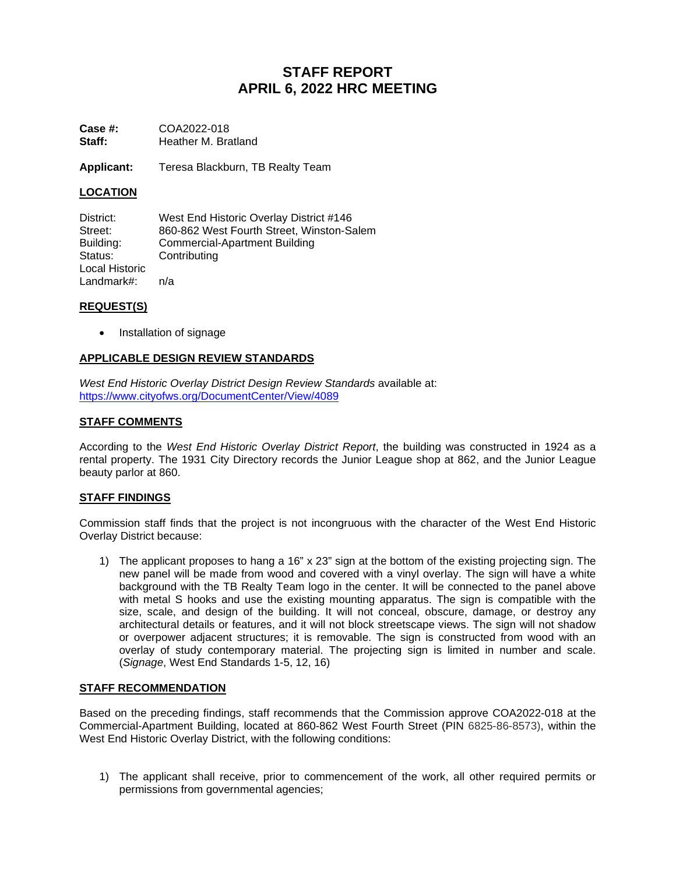# **STAFF REPORT APRIL 6, 2022 HRC MEETING**

**Case #:** COA2022-018<br>**Staff:** Heather M. Bra **Staff:** Heather M. Bratland

**Applicant:** Teresa Blackburn, TB Realty Team

## **LOCATION**

District: West End Historic Overlay District #146<br>Street: 860-862 West Fourth Street. Winston-Sa Street: 860-862 West Fourth Street, Winston-Salem<br>Building: Commercial-Apartment Building Building: Commercial-Apartment Building Status: Contributing Local Historic Landmark#: n/a

### **REQUEST(S)**

• Installation of signage

### **APPLICABLE DESIGN REVIEW STANDARDS**

*West End Historic Overlay District Design Review Standards* available at: <https://www.cityofws.org/DocumentCenter/View/4089>

### **STAFF COMMENTS**

According to the *West End Historic Overlay District Report*, the building was constructed in 1924 as a rental property. The 1931 City Directory records the Junior League shop at 862, and the Junior League beauty parlor at 860.

### **STAFF FINDINGS**

Commission staff finds that the project is not incongruous with the character of the West End Historic Overlay District because:

1) The applicant proposes to hang a 16" x 23" sign at the bottom of the existing projecting sign. The new panel will be made from wood and covered with a vinyl overlay. The sign will have a white background with the TB Realty Team logo in the center. It will be connected to the panel above with metal S hooks and use the existing mounting apparatus. The sign is compatible with the size, scale, and design of the building. It will not conceal, obscure, damage, or destroy any architectural details or features, and it will not block streetscape views. The sign will not shadow or overpower adjacent structures; it is removable. The sign is constructed from wood with an overlay of study contemporary material. The projecting sign is limited in number and scale. (*Signage*, West End Standards 1-5, 12, 16)

### **STAFF RECOMMENDATION**

Based on the preceding findings, staff recommends that the Commission approve COA2022-018 at the Commercial-Apartment Building, located at 860-862 West Fourth Street (PIN 6825-86-8573), within the West End Historic Overlay District, with the following conditions:

1) The applicant shall receive, prior to commencement of the work, all other required permits or permissions from governmental agencies;